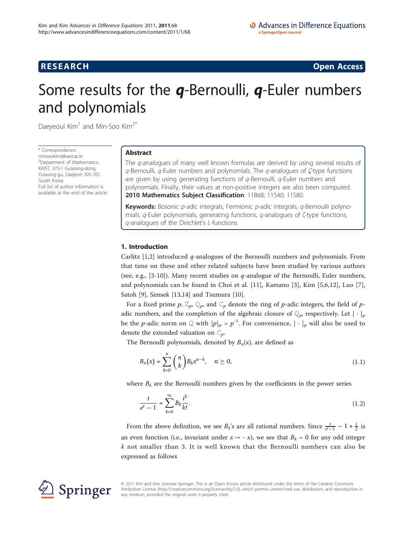**RESEARCH CONSTRUCTION CONSTRUCTS** 

# Some results for the *q*-Bernoulli, *q*-Euler numbers and polynomials

Daeyeoul  $Kim<sup>1</sup>$  and Min-Soo Kim<sup>2\*</sup>

\* Correspondence: [minsookim@kaist.ac.kr](mailto:minsookim@kaist.ac.kr) <sup>2</sup>Department of Mathematics, KAIST, 373-1 Guseong-dong, Yuseong-gu, Daejeon 305-701, South Korea Full list of author information is available at the end of the article

# Abstract

The q-analogues of many well known formulas are derived by using several results of q-Bernoulli, q-Euler numbers and polynomials. The q-analogues of ζ-type functions are given by using generating functions of  $q$ -Bernoulli,  $q$ -Euler numbers and polynomials. Finally, their values at non-positive integers are also been computed. 2010 Mathematics Subject Classification: 11B68; 11S40; 11S80.

Keywords: Bosonic p-adic integrals, Fermionic p-adic integrals, q-Bernoulli polynomials, q-Euler polynomials, generating functions, q-analogues of ζ-type functions, q-analogues of the Dirichlet's L-functions

# 1. Introduction

Carlitz  $[1,2]$  $[1,2]$  $[1,2]$  introduced  $q$ -analogues of the Bernoulli numbers and polynomials. From that time on these and other related subjects have been studied by various authors (see, e.g., [[3-10](#page-14-0)]). Many recent studies on  $q$ -analogue of the Bernoulli, Euler numbers, and polynomials can be found in Choi et al. [[11\]](#page-14-0), Kamano [\[3](#page-14-0)], Kim [[5,6,12](#page-14-0)], Luo [\[7](#page-14-0)], Satoh [[9\]](#page-14-0), Simsek [\[13,14](#page-14-0)] and Tsumura [\[10\]](#page-14-0).

For a fixed prime p,  $\mathbb{Z}_p$ ,  $\mathbb{Q}_p$ , and  $\mathbb{C}_p$  denote the ring of p-adic integers, the field of padic numbers, and the completion of the algebraic closure of  $\mathbb{Q}_p$ , respectively. Let  $|\cdot|_p$ be the *p*-adic norm on  $Q$  with  $|p|_p = p^{-1}$ . For convenience,  $|\cdot|_p$  will also be used to denote the extended valuation on  $\mathbb{C}_n$ .

The Bernoulli polynomials, denoted by  $B_n(x)$ , are defined as

$$
B_n(x) = \sum_{k=0}^n \binom{n}{k} B_k x^{n-k}, \quad n \ge 0,
$$
\n(1.1)

where  $B_k$  are the Bernoulli numbers given by the coefficients in the power series

$$
\frac{t}{e^t - 1} = \sum_{k=0}^{\infty} B_k \frac{t^k}{k!}.
$$
\n(1.2)

From the above definition, we see  $B_k$ 's are all rational numbers. Since  $\frac{t}{e^{t}-1} - 1 + \frac{t}{2}$  is an even function (i.e., invariant under  $x \mapsto -x$ ), we see that  $B_k = 0$  for any odd integer  $k$  not smaller than 3. It is well known that the Bernoulli numbers can also be expressed as follows



© 2011 Kim and Kim; licensee Springer. This is an Open Access article distributed under the terms of the Creative Commons Attribution License [\(http://creativecommons.org/licenses/by/2.0](http://creativecommons.org/licenses/by/2.0)), which permits unrestricted use, distribution, and reproduction in any medium, provided the original work is properly cited.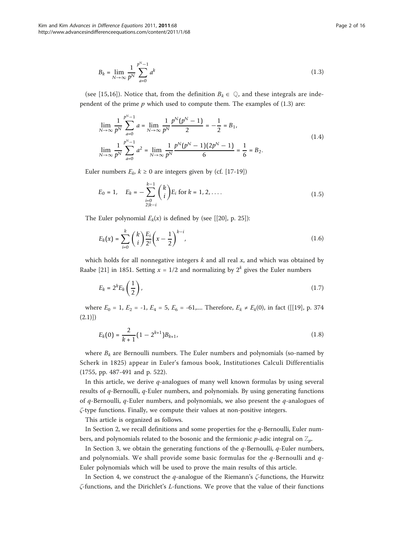$$
B_k = \lim_{N \to \infty} \frac{1}{p^N} \sum_{a=0}^{p^N - 1} a^k
$$
 (1.3)

(see [[15,16\]](#page-14-0)). Notice that, from the definition  $B_k \in \mathbb{Q}$ , and these integrals are independent of the prime  $p$  which used to compute them. The examples of  $(1.3)$  are:

$$
\lim_{N \to \infty} \frac{1}{p^N} \sum_{a=0}^{p^N - 1} a = \lim_{N \to \infty} \frac{1}{p^N} \frac{p^N (p^N - 1)}{2} = -\frac{1}{2} = B_1,
$$
\n
$$
\lim_{N \to \infty} \frac{1}{p^N} \sum_{a=0}^{p^N - 1} a^2 = \lim_{N \to \infty} \frac{1}{p^N} \frac{p^N (p^N - 1)(2p^N - 1)}{6} = \frac{1}{6} = B_2.
$$
\n(1.4)

Euler numbers  $E_k$ ,  $k \ge 0$  are integers given by (cf. [\[17-19](#page-14-0)])

$$
E_0 = 1, \quad E_k = -\sum_{\substack{i=0 \ 2|k-i}}^{k-1} {k \choose i} E_i \text{ for } k = 1, 2, \dots
$$
 (1.5)

The Euler polynomial  $E_k(x)$  is defined by (see [[[20\]](#page-14-0), p. 25]):

$$
E_k(x) = \sum_{i=0}^k {k \choose i} \frac{E_i}{2^i} \left(x - \frac{1}{2}\right)^{k-i},
$$
\n(1.6)

which holds for all nonnegative integers  $k$  and all real  $x$ , and which was obtained by Raabe [\[21\]](#page-14-0) in 1851. Setting  $x = 1/2$  and normalizing by  $2^k$  gives the Euler numbers

$$
E_k = 2^k E_k \left(\frac{1}{2}\right),\tag{1.7}
$$

where  $E_0 = 1$ ,  $E_2 = -1$ ,  $E_4 = 5$ ,  $E_6 = -61$ ,.... Therefore,  $E_k \neq E_k(0)$ , in fact ([[[19\]](#page-14-0), p. 374  $(2.1)$ ]

$$
E_k(0) = \frac{2}{k+1} \left(1 - 2^{k+1}\right) B_{k+1},\tag{1.8}
$$

where  $B_k$  are Bernoulli numbers. The Euler numbers and polynomials (so-named by Scherk in 1825) appear in Euler's famous book, Institutiones Calculi Differentialis (1755, pp. 487-491 and p. 522).

In this article, we derive  $q$ -analogues of many well known formulas by using several results of  $q$ -Bernoulli,  $q$ -Euler numbers, and polynomials. By using generating functions of  $q$ -Bernoulli,  $q$ -Euler numbers, and polynomials, we also present the  $q$ -analogues of ζ-type functions. Finally, we compute their values at non-positive integers.

This article is organized as follows.

In Section 2, we recall definitions and some properties for the  $q$ -Bernoulli, Euler numbers, and polynomials related to the bosonic and the fermionic  $p$ -adic integral on  $\mathbb{Z}_p$ .

In Section 3, we obtain the generating functions of the  $q$ -Bernoulli,  $q$ -Euler numbers, and polynomials. We shall provide some basic formulas for the  $q$ -Bernoulli and  $q$ -Euler polynomials which will be used to prove the main results of this article.

In Section 4, we construct the q-analogue of the Riemann's  $\zeta$ -functions, the Hurwitz ζ-functions, and the Dirichlet's L-functions. We prove that the value of their functions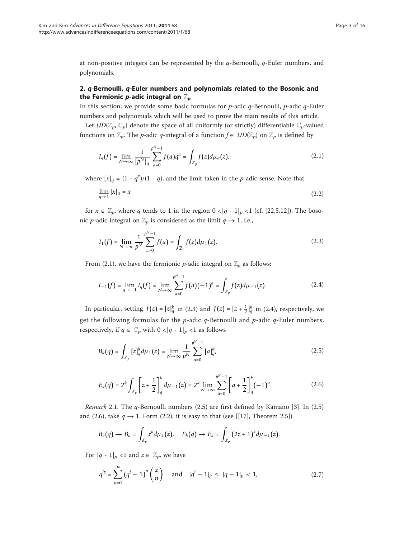at non-positive integers can be represented by the  $q$ -Bernoulli,  $q$ -Euler numbers, and polynomials.

# 2. q-Bernoulli, q-Euler numbers and polynomials related to the Bosonic and the Fermionic p-adic integral on  $\mathbb{Z}_p$

In this section, we provide some basic formulas for  $p$ -adic  $q$ -Bernoulli,  $p$ -adic  $q$ -Euler numbers and polynomials which will be used to prove the main results of this article.

Let  $U D(\mathbb{Z}_p, \mathbb{C}_p)$  denote the space of all uniformly (or strictly) differentiable  $\mathbb{C}_p$ -valued functions on  $\mathbb{Z}_p$ . The p-adic q-integral of a function  $f \in UD(\mathbb{Z}_p)$  on  $\mathbb{Z}_p$  is defined by

$$
I_q(f) = \lim_{N \to \infty} \frac{1}{[p^N]_q} \sum_{a=0}^{p^N-1} f(a)q^a = \int_{\mathbb{Z}_p} f(z) d\mu_q(z), \tag{2.1}
$$

where  $[x]_q = (1 - q^x)/(1 - q)$ , and the limit taken in the *p*-adic sense. Note that

$$
\lim_{q \to 1} [x]_q = x \tag{2.2}
$$

for  $x \in \mathbb{Z}_p$ , where q tends to 1 in the region  $0 < |q - 1|_p < 1$  (cf. [\[22,5,12](#page-14-0)]). The bosonic *p*-adic integral on  $\mathbb{Z}_p$  is considered as the limit  $q \to 1$ , i.e.,

$$
I_1(f) = \lim_{N \to \infty} \frac{1}{p^N} \sum_{a=0}^{p^N - 1} f(a) = \int_{\mathbb{Z}_p} f(z) d\mu_1(z).
$$
 (2.3)

From (2.1), we have the fermionic *p*-adic integral on  $\mathbb{Z}_p$  as follows:

$$
I_{-1}(f) = \lim_{q \to -1} I_q(f) = \lim_{N \to \infty} \sum_{a=0}^{p^N - 1} f(a)(-1)^a = \int_{\mathbb{Z}_p} f(z) d\mu_{-1}(z).
$$
 (2.4)

In particular, setting  $f(z) = [z]_q^k$  in (2.3) and  $f(z) = [z + \frac{1}{2}]_q^k$  in (2.4), respectively, we get the following formulas for the  $p$ -adic  $q$ -Bernoulli and  $p$ -adic  $q$ -Euler numbers, respectively, if  $q \in \mathbb{C}_p$  with  $0 < |q - 1|_p < 1$  as follows

$$
B_k(q) = \int_{\mathbb{Z}_p} [z]_q^k d\mu_1(z) = \lim_{N \to \infty} \frac{1}{p^N} \sum_{a=0}^{p^N - 1} [a]_{q'}^k
$$
 (2.5)

$$
E_k(q) = 2^k \int_{\mathbb{Z}_p} \left[ z + \frac{1}{2} \right]_q^k d\mu_{-1}(z) = 2^k \lim_{N \to \infty} \sum_{a=0}^{p^N - 1} \left[ a + \frac{1}{2} \right]_q^k (-1)^a.
$$
 (2.6)

*Remark* 2.1. The  $q$ -Bernoulli numbers (2.5) are first defined by Kamano [\[3](#page-14-0)]. In (2.5) and (2.6), take  $q \rightarrow 1$ . Form (2.2), it is easy to that (see [[\[17\]](#page-14-0), Theorem 2.5])

$$
B_k(q) \to B_k = \int_{\mathbb{Z}_p} z^k d\mu_1(z), \quad E_k(q) \to E_k = \int_{\mathbb{Z}_p} (2z+1)^k d\mu_{-1}(z).
$$

For  $|q - 1|_p < 1$  and  $z \in \mathbb{Z}_p$ , we have

$$
q^{iz} = \sum_{n=0}^{\infty} (q^i - 1)^n \binom{z}{n} \quad \text{and} \quad |q^i - 1|_p \le |q - 1|_p < 1,\tag{2.7}
$$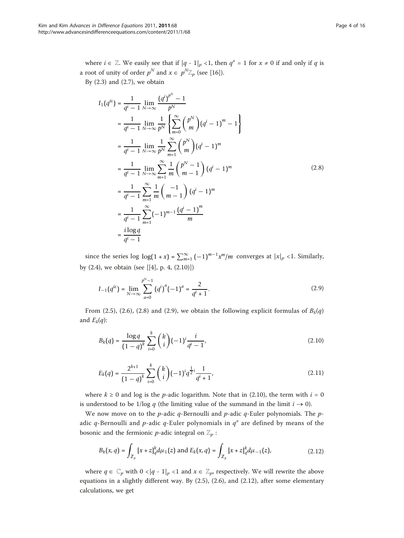where  $i \in \mathbb{Z}$ . We easily see that if  $|q - 1|_p < 1$ , then  $q^x = 1$  for  $x \neq 0$  if and only if q is a root of unity of order  $p^N$  and  $x \in p^N \mathbb{Z}_p$  (see [[16](#page-14-0)]).

By  $(2.3)$  and  $(2.7)$ , we obtain

$$
I_{1}(q^{iz}) = \frac{1}{q^{i} - 1} \lim_{N \to \infty} \frac{(q^{i})^{p^{N}} - 1}{p^{N}}
$$
  
\n
$$
= \frac{1}{q^{i} - 1} \lim_{N \to \infty} \frac{1}{p^{N}} \left\{ \sum_{m=0}^{\infty} {p^{m} \choose m} (q^{i} - 1)^{m} - 1 \right\}
$$
  
\n
$$
= \frac{1}{q^{i} - 1} \lim_{N \to \infty} \frac{1}{p^{N}} \sum_{m=1}^{\infty} {p^{N} \choose m} (q^{i} - 1)^{m}
$$
  
\n
$$
= \frac{1}{q^{i} - 1} \lim_{N \to \infty} \sum_{m=1}^{\infty} \frac{1}{m} {p^{N} - 1 \choose m - 1} (q^{i} - 1)^{m}
$$
  
\n
$$
= \frac{1}{q^{i} - 1} \sum_{m=1}^{\infty} \frac{1}{m} {p \choose m - 1} (q^{i} - 1)^{m}
$$
  
\n
$$
= \frac{1}{q^{i} - 1} \sum_{m=1}^{\infty} (-1)^{m-1} \frac{(q^{i} - 1)^{m}}{m}
$$
  
\n
$$
= \frac{i \log q}{q^{i} - 1}
$$
  
\n(2.8)

since the series log  $\log(1 + x) = \sum_{m=1}^{\infty} (-1)^{m-1} x^m/m$  converges at  $|x|_p < 1$ . Similarly, by (2.4), we obtain (see [[\[4](#page-14-0)], p. 4, (2.10)])

$$
I_{-1}(q^{iz}) = \lim_{N \to \infty} \sum_{a=0}^{p^N - 1} (q^i)^a (-1)^a = \frac{2}{q^i + 1}.
$$
 (2.9)

From (2.5), (2.6), (2.8) and (2.9), we obtain the following explicit formulas of  $B_k(q)$ and  $E_k(q)$ :

$$
B_k(q) = \frac{\log q}{(1-q)^k} \sum_{i=0}^k {k \choose i} (-1)^i \frac{i}{q^i - 1},
$$
\n(2.10)

$$
E_k(q) = \frac{2^{k+1}}{(1-q)^k} \sum_{i=0}^k {k \choose i} (-1)^i q^{\frac{1}{2}i} \frac{1}{q^i+1},
$$
\n(2.11)

where  $k \ge 0$  and log is the *p*-adic logarithm. Note that in (2.10), the term with  $i = 0$ is understood to be 1/log q (the limiting value of the summand in the limit  $i \rightarrow 0$ ).

We now move on to the p-adic q-Bernoulli and p-adic q-Euler polynomials. The padic q-Bernoulli and p-adic q-Euler polynomials in  $q^x$  are defined by means of the bosonic and the fermionic *p*-adic integral on  $\mathbb{Z}_p$ :

$$
B_k(x,q) = \int_{\mathbb{Z}_p} [x+z]_q^k d\mu_1(z) \text{ and } E_k(x,q) = \int_{\mathbb{Z}_p} [x+z]_q^k d\mu_{-1}(z), \tag{2.12}
$$

where  $q \in \mathbb{C}_p$  with  $0 < |q - 1|_p < 1$  and  $x \in \mathbb{Z}_p$ , respectively. We will rewrite the above equations in a slightly different way. By  $(2.5)$ ,  $(2.6)$ , and  $(2.12)$ , after some elementary calculations, we get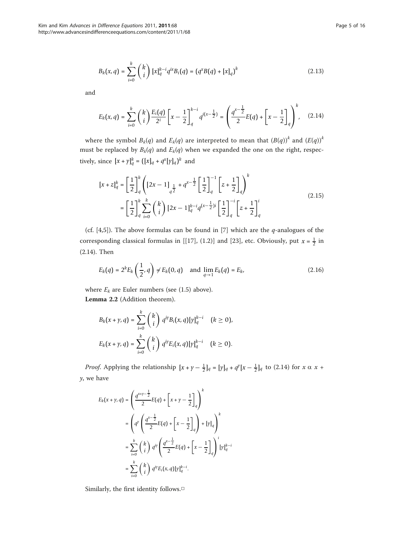$$
B_k(x,q) = \sum_{i=0}^k {k \choose i} [x]_q^{k-i} q^{ix} B_i(q) = (q^x B(q) + [x]_q)^k
$$
 (2.13)

and

$$
E_k(x,q) = \sum_{i=0}^k {k \choose i} \frac{E_i(q)}{2^i} \left[ x - \frac{1}{2} \right]_q^{k-i} q^{i(x-\frac{1}{2})} = \left( \frac{q^{x-\frac{1}{2}}}{2} E(q) + \left[ x - \frac{1}{2} \right]_q \right)^k, \quad (2.14)
$$

where the symbol  $B_k(q)$  and  $E_k(q)$  are interpreted to mean that  $(B(q))^k$  and  $(E(q))^k$ must be replaced by  $B_k(q)$  and  $E_k(q)$  when we expanded the one on the right, respectively, since  $[x + \gamma]_q^k = ([x]_q + q^x[\gamma]_q)^k$  and

$$
[x + z]_q^k = \left[\frac{1}{2}\right]_q^k \left( [2x - 1]_{\frac{1}{q^2}} + q^{x - \frac{1}{2}} \left[\frac{1}{2}\right]_q^{-1} \left[z + \frac{1}{2}\right]_q\right)^k
$$
  
\n
$$
= \left[\frac{1}{2}\right]_q^k \sum_{i=0}^k {k \choose i} [2x - 1]_q^{k-i} q^{(x - \frac{1}{2})i} \left[\frac{1}{2}\right]_q^{-i} \left[z + \frac{1}{2}\right]_q^i
$$
\n(2.15)

(cf. [[4,5](#page-14-0)]). The above formulas can be found in [[7\]](#page-14-0) which are the  $q$ -analogues of the corresponding classical formulas in [[\[17](#page-14-0)], (1.2)] and [\[23\]](#page-14-0), etc. Obviously, put  $x = \frac{1}{2}$  in (2.14). Then

$$
E_k(q) = 2^k E_k\left(\frac{1}{2}, q\right) \neq E_k(0, q) \quad \text{and} \quad \lim_{q \to 1} E_k(q) = E_k,
$$
\n(2.16)

where  $E_k$  are Euler numbers (see (1.5) above). Lemma 2.2 (Addition theorem).

$$
B_k(x + \gamma, q) = \sum_{i=0}^k {k \choose i} q^{iy} B_i(x, q) [\gamma]_q^{k-i} \quad (k \ge 0),
$$
  

$$
E_k(x + \gamma, q) = \sum_{i=0}^k {k \choose i} q^{iy} E_i(x, q) [\gamma]_q^{k-i} \quad (k \ge 0).
$$

*Proof.* Applying the relationship  $[x + \gamma - \frac{1}{2}]_q = [\gamma]_q + q^{\gamma}[x - \frac{1}{2}]_q$  to (2.14) for  $x \alpha x +$  $y$ , we have

$$
E_k(x + \gamma, q) = \left(\frac{q^{x+\gamma - \frac{1}{2}}}{2}E(q) + \left[x + \gamma - \frac{1}{2}\right]_q\right)^k
$$
  

$$
= \left(q^{\gamma}\left(\frac{q^{x-\frac{1}{2}}}{2}E(q) + \left[x - \frac{1}{2}\right]_q\right) + [\gamma]_q\right)^k
$$
  

$$
= \sum_{i=0}^k {k \choose i} q^{i\gamma} \left(\frac{q^{x-\frac{1}{2}}}{2}E(q) + \left[x - \frac{1}{2}\right]_q\right)^i [\gamma]_q^{k-i}
$$
  

$$
= \sum_{i=0}^k {k \choose i} q^{i\gamma} E_i(x, q) [\gamma]_q^{k-i}.
$$

Similarly, the first identity follows.□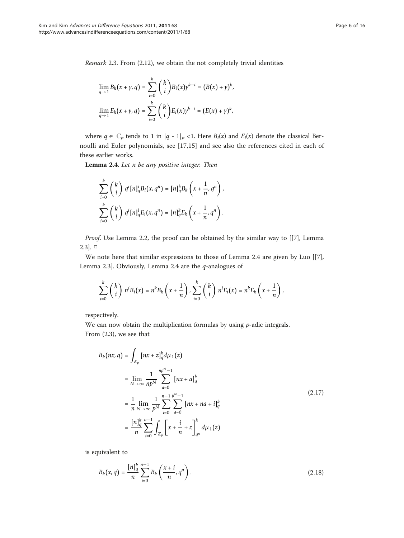Remark 2.3. From (2.12), we obtain the not completely trivial identities

$$
\lim_{q \to 1} B_k(x + \gamma, q) = \sum_{i=0}^k {k \choose i} B_i(x) \gamma^{k-i} = (B(x) + \gamma)^k,
$$
  

$$
\lim_{q \to 1} E_k(x + \gamma, q) = \sum_{i=0}^k {k \choose i} E_i(x) \gamma^{k-i} = (E(x) + \gamma)^k,
$$

where  $q \in \mathbb{C}_p$  tends to 1 in  $|q - 1|_p < 1$ . Here  $B_i(x)$  and  $E_i(x)$  denote the classical Bernoulli and Euler polynomials, see [\[17](#page-14-0),[15\]](#page-14-0) and see also the references cited in each of these earlier works.

Lemma 2.4. Let n be any positive integer. Then

$$
\sum_{i=0}^k \binom{k}{i} q^i [n]_q^i B_i(x, q^n) = [n]_q^k B_k \left(x + \frac{1}{n}, q^n\right),
$$
  

$$
\sum_{i=0}^k \binom{k}{i} q^i [n]_q^i E_i(x, q^n) = [n]_q^k E_k \left(x + \frac{1}{n}, q^n\right).
$$

Proof. Use Lemma 2.2, the proof can be obtained by the similar way to [[[7\]](#page-14-0), Lemma  $2.3$ ]. □

We note here that similar expressions to those of Lemma 2.4 are given by Luo [[\[7](#page-14-0)], Lemma 2.3]. Obviously, Lemma 2.4 are the  $q$ -analogues of

$$
\sum_{i=0}^k {k \choose i} n^i B_i(x) = n^k B_k \left(x + \frac{1}{n}\right), \sum_{i=0}^k {k \choose i} n^i E_i(x) = n^k E_k \left(x + \frac{1}{n}\right),
$$

respectively.

We can now obtain the multiplication formulas by using  $p$ -adic integrals. From (2.3), we see that

$$
B_k(nx,q) = \int_{\mathbb{Z}_p} [nx + z]_q^k d\mu_1(z)
$$
  
\n
$$
= \lim_{N \to \infty} \frac{1}{np^N} \sum_{a=0}^{np^N - 1} [nx + a]_q^k
$$
  
\n
$$
= \frac{1}{n} \lim_{N \to \infty} \frac{1}{p^N} \sum_{i=0}^{n-1} \sum_{a=0}^{p^N - 1} [nx + na + i]_q^k
$$
  
\n
$$
= \frac{[n]_q^k}{n} \sum_{i=0}^{n-1} \int_{\mathbb{Z}_p} \left[ x + \frac{i}{n} + z \right]_{q^n}^k d\mu_1(z)
$$
 (2.17)

is equivalent to

$$
B_k(x,q) = \frac{[n]_q^k}{n} \sum_{i=0}^{n-1} B_k\left(\frac{x+i}{n}, q^n\right).
$$
 (2.18)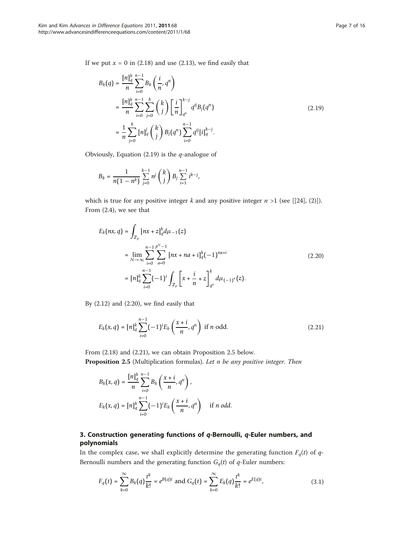If we put  $x = 0$  in (2.18) and use (2.13), we find easily that

$$
B_k(q) = \frac{[n]_q^k}{n} \sum_{i=0}^{n-1} B_k\left(\frac{i}{n}, q^n\right)
$$
  
= 
$$
\frac{[n]_q^k}{n} \sum_{i=0}^{n-1} \sum_{j=0}^k {k \choose j} \left[\frac{i}{n}\right]_{q^n}^{k-j} q^{ij} B_j(q^n)
$$
  
= 
$$
\frac{1}{n} \sum_{j=0}^k [n]_q^j {k \choose j} B_j(q^n) \sum_{i=0}^{n-1} q^{ij} [i]_q^{k-j}.
$$
 (2.19)

Obviously, Equation (2.19) is the  $q$ -analogue of

$$
B_k = \frac{1}{n(1 - n^k)} \sum_{j=0}^{k-1} n^j {k \choose j} B_j \sum_{i=1}^{n-1} i^{k-j},
$$

which is true for any positive integer k and any positive integer  $n > 1$  (see [[\[24](#page-14-0)], (2)]). From (2.4), we see that

$$
E_k(nx,q) = \int_{\mathbb{Z}_p} [nx + z]_q^k d\mu_{-1}(z)
$$
  
= 
$$
\lim_{N \to \infty} \sum_{i=0}^{n-1} \sum_{a=0}^{p^N - 1} [nx + na + i]_q^k (-1)^{na+i}
$$
  
= 
$$
[n]_q^k \sum_{i=0}^{n-1} (-1)^i \int_{\mathbb{Z}_p} \left[ x + \frac{i}{n} + z \right]_{q^n}^k d\mu_{(-1)^n}(z).
$$
 (2.20)

By (2.12) and (2.20), we find easily that

$$
E_k(x,q) = [n]_q^k \sum_{i=0}^{n-1} (-1)^i E_k\left(\frac{x+i}{n}, q^n\right) \text{ if } n \text{ odd.}
$$
 (2.21)

From (2.18) and (2.21), we can obtain Proposition 2.5 below. Proposition 2.5 (Multiplication formulas). Let n be any positive integer. Then

$$
B_k(x,q) = \frac{[n]_q^k}{n} \sum_{i=0}^{n-1} B_k\left(\frac{x+i}{n}, q^n\right),
$$
  

$$
E_k(x,q) = [n]_q^k \sum_{i=0}^{n-1} (-1)^i E_k\left(\frac{x+i}{n}, q^n\right) \quad \text{if } n \text{ odd.}
$$

# 3. Construction generating functions of q-Bernoulli, q-Euler numbers, and polynomials

In the complex case, we shall explicitly determine the generating function  $F_q(t)$  of  $q$ -Bernoulli numbers and the generating function  $G_q(t)$  of  $q$ -Euler numbers:

$$
F_q(t) = \sum_{k=0}^{\infty} B_k(q) \frac{t^k}{k!} = e^{B(q)t} \text{ and } G_q(t) = \sum_{k=0}^{\infty} E_k(q) \frac{t^k}{k!} = e^{E(q)t}, \tag{3.1}
$$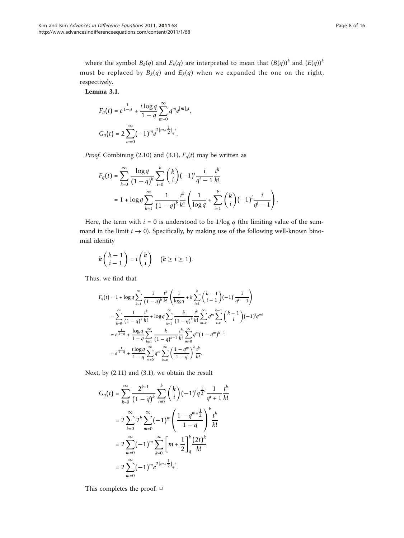where the symbol  $B_k(q)$  and  $E_k(q)$  are interpreted to mean that  $(B(q))^k$  and  $(E(q))^k$ must be replaced by  $B_k(q)$  and  $E_k(q)$  when we expanded the one on the right, respectively.

Lemma 3.1.

$$
F_q(t) = e^{\frac{t}{1-q}} + \frac{t \log q}{1-q} \sum_{m=0}^{\infty} q^m e^{[m]_q t},
$$
  

$$
G_q(t) = 2 \sum_{m=0}^{\infty} (-1)^m e^{2[m+\frac{1}{2}]_q t}.
$$

*Proof.* Combining (2.10) and (3.1),  $F_q(t)$  may be written as

$$
F_q(t) = \sum_{k=0}^{\infty} \frac{\log q}{(1-q)^k} \sum_{i=0}^k {k \choose i} (-1)^i \frac{i}{q^i - 1} \frac{t^k}{k!}
$$
  
=  $1 + \log q \sum_{k=1}^{\infty} \frac{1}{(1-q)^k} \frac{t^k}{k!} \left( \frac{1}{\log q} + \sum_{i=1}^k {k \choose i} (-1)^i \frac{i}{q^i - 1} \right).$ 

Here, the term with  $i = 0$  is understood to be 1/log q (the limiting value of the summand in the limit  $i \rightarrow 0$ ). Specifically, by making use of the following well-known binomial identity

$$
k\binom{k-1}{i-1} = i\binom{k}{i} \quad (k \geq i \geq 1).
$$

Thus, we find that

$$
F_q(t) = 1 + \log q \sum_{k=1}^{\infty} \frac{1}{(1-q)^k} \frac{t^k}{k!} \left( \frac{1}{\log q} + k \sum_{i=1}^k {k-1 \choose i-1} (-1)^i \frac{1}{q^i - 1} \right)
$$
  

$$
= \sum_{k=0}^{\infty} \frac{1}{(1-q)^k} \frac{t^k}{k!} + \log q \sum_{k=1}^{\infty} \frac{k}{(1-q)^k} \frac{t^k}{k!} \sum_{m=0}^{\infty} q^m \sum_{i=0}^{k-1} {k-1 \choose i} (-1)^i q^{mi}
$$
  

$$
= e^{\frac{t}{1-q}} + \frac{\log q}{1-q} \sum_{k=1}^{\infty} \frac{k}{(1-q)^{k-1}} \frac{t^k}{k!} \sum_{m=0}^{\infty} q^m (1-q^m)^{k-1}
$$
  

$$
= e^{\frac{t}{1-q}} + \frac{t \log q}{1-q} \sum_{m=0}^{\infty} q^m \sum_{k=0}^{\infty} \left( \frac{1-q^m}{1-q} \right)^k \frac{t^k}{k!}.
$$

Next, by (2.11) and (3.1), we obtain the result

$$
G_q(t) = \sum_{k=0}^{\infty} \frac{2^{k+1}}{(1-q)^k} \sum_{i=0}^k {k \choose i} (-1)^i q^{\frac{1}{2}i} \frac{1}{q^i + 1} \frac{t^k}{k!}
$$
  

$$
= 2 \sum_{k=0}^{\infty} 2^k \sum_{m=0}^{\infty} (-1)^m \left( \frac{1 - q^{m + \frac{1}{2}}}{1 - q} \right)^k \frac{t^k}{k!}
$$
  

$$
= 2 \sum_{m=0}^{\infty} (-1)^m \sum_{k=0}^{\infty} \left[ m + \frac{1}{2} \right]_q^k \frac{(2t)^k}{k!}
$$
  

$$
= 2 \sum_{m=0}^{\infty} (-1)^m e^{2[m + \frac{1}{2}]}_q^t.
$$

This completes the proof. □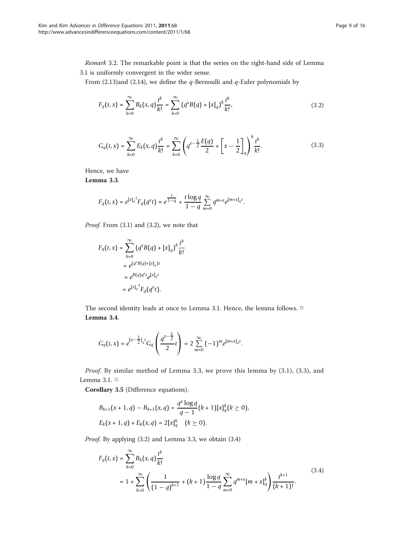Remark 3.2. The remarkable point is that the series on the right-hand side of Lemma 3.1 is uniformly convergent in the wider sense.

From (2.13)and (2.14), we define the  $q$ -Bernoulli and  $q$ -Euler polynomials by

$$
F_q(t,x) = \sum_{k=0}^{\infty} B_k(x,q) \frac{t^k}{k!} = \sum_{k=0}^{\infty} (q^k B(q) + [x]_q)^k \frac{t^k}{k!},
$$
\n(3.2)

$$
G_q(t,x) = \sum_{k=0}^{\infty} E_k(x,q) \frac{t^k}{k!} = \sum_{k=0}^{\infty} \left( q^{x-\frac{1}{2}} \frac{E(q)}{2} + \left[ x - \frac{1}{2} \right]_q \right)^k \frac{t^k}{k!}.
$$
 (3.3)

Hence, we have

Lemma 3.3.

$$
F_q\big(t,x\big)=e^{\left[x\right]_q{}^t}F_q\big(q^xt\big)=e^{\frac{t}{1-q}}+\frac{t\log q}{1-q}\sum_{m=0}^\infty q^{m+x}e^{\left[m+x\right]_q{}^t}.
$$

Proof. From (3.1) and (3.2), we note that

$$
F_q(t, x) = \sum_{k=0}^{\infty} (q^x B(q) + [x]_q)^k \frac{t^k}{k!}
$$
  
=  $e^{(q^x B(q) + [x]_q)t}$   
=  $e^{B(q)q^x t} e^{[x]_q t}$   
=  $e^{[x]_q^t} F_q(q^x t)$ .

The second identity leads at once to Lemma 3.1. Hence, the lemma follows. □ Lemma 3.4.

$$
G_q(t,x)=e^{[x-\tfrac{1}{2}]_q t}G_q\left(\frac{q^{x-\tfrac{1}{2}}}{2}t\right)=2\sum_{m=0}^\infty{(-1)^m e^{[m+x]_q t}}.
$$

Proof. By similar method of Lemma 3.3, we prove this lemma by (3.1), (3.3), and Lemma 3.1. □

Corollary 3.5 (Difference equations).

$$
B_{k+1}(x+1,q) - B_{k+1}(x,q) = \frac{q^x \log q}{q-1} (k+1) [x]_q^k (k \ge 0),
$$
  

$$
E_k(x+1,q) + E_k(x,q) = 2 [x]_q^k \quad (k \ge 0).
$$

Proof. By applying (3.2) and Lemma 3.3, we obtain (3.4)

$$
F_q(t,x) = \sum_{k=0}^{\infty} B_k(x,q) \frac{t^k}{k!}
$$
  
=  $1 + \sum_{k=0}^{\infty} \left( \frac{1}{(1-q)^{k+1}} + (k+1) \frac{\log q}{1-q} \sum_{m=0}^{\infty} q^{m+x} [m+x]_q^k \right) \frac{t^{k+1}}{(k+1)!}.$  (3.4)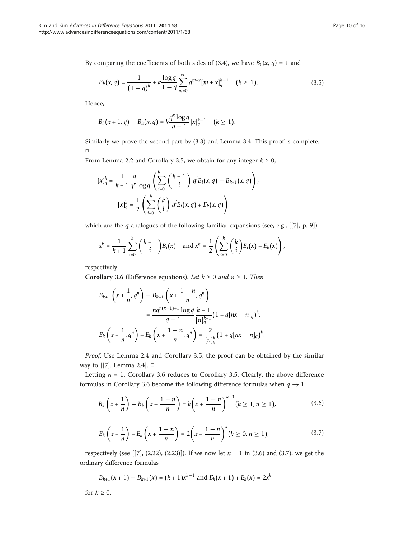By comparing the coefficients of both sides of (3.4), we have  $B_0(x, q) = 1$  and

$$
B_k(x,q) = \frac{1}{(1-q)^k} + k \frac{\log q}{1-q} \sum_{m=0}^{\infty} q^{m+x} [m+x]_q^{k-1} \quad (k \ge 1).
$$
 (3.5)

Hence,

$$
B_k(x + 1, q) - B_k(x, q) = k \frac{q^x \log q}{q - 1} [x]_q^{k-1} \quad (k \ge 1).
$$

Similarly we prove the second part by (3.3) and Lemma 3.4. This proof is complete. □

From Lemma 2.2 and Corollary 3.5, we obtain for any integer  $k \ge 0$ ,

$$
[x]_q^k = \frac{1}{k+1} \frac{q-1}{q^x \log q} \left( \sum_{i=0}^{k+1} {k+1 \choose i} q^i B_i(x, q) - B_{k+1}(x, q) \right),
$$

$$
[x]_q^k = \frac{1}{2} \left( \sum_{i=0}^k {k \choose i} q^i E_i(x, q) + E_k(x, q) \right)
$$

which are the *q*-analogues of the following familiar expansions (see, e.g., [[[7\]](#page-14-0), p. 9]):

$$
x^{k} = \frac{1}{k+1} \sum_{i=0}^{k} {k+1 \choose i} B_{i}(x) \text{ and } x^{k} = \frac{1}{2} \left( \sum_{i=0}^{k} {k \choose i} E_{i}(x) + E_{k}(x) \right),
$$

respectively.

**Corollary 3.6** (Difference equations). Let  $k \ge 0$  and  $n \ge 1$ . Then

$$
B_{k+1}\left(x+\frac{1}{n},q^{n}\right)-B_{k+1}\left(x+\frac{1-n}{n},q^{n}\right)
$$
  

$$
=\frac{nq^{n(x-1)+1}\log q}{q-1}\frac{k+1}{[n]_{q}^{k+1}}(1+q[nx-n]_{q})^{k},
$$
  

$$
E_{k}\left(x+\frac{1}{n},q^{n}\right)+E_{k}\left(x+\frac{1-n}{n},q^{n}\right)=\frac{2}{[n]_{q}^{k}}(1+q[nx-n]_{q})^{k}.
$$

Proof. Use Lemma 2.4 and Corollary 3.5, the proof can be obtained by the similar way to [[\[7](#page-14-0)], Lemma 2.4].  $\Box$ 

Letting  $n = 1$ , Corollary 3.6 reduces to Corollary 3.5. Clearly, the above difference formulas in Corollary 3.6 become the following difference formulas when  $q \to 1$ :

$$
B_k\left(x+\frac{1}{n}\right)-B_k\left(x+\frac{1-n}{n}\right)=k\left(x+\frac{1-n}{n}\right)^{k-1}(k\geq 1, n\geq 1),\tag{3.6}
$$

$$
E_k\left(x+\frac{1}{n}\right)+E_k\left(x+\frac{1-n}{n}\right)=2\left(x+\frac{1-n}{n}\right)^k (k\geq 0, n\geq 1),
$$
\n(3.7)

respectively (see [[\[7](#page-14-0)], (2.22), (2.23)]). If we now let  $n = 1$  in (3.6) and (3.7), we get the ordinary difference formulas

$$
B_{k+1}(x+1) - B_{k+1}(x) = (k+1)x^{k-1}
$$
 and  $E_k(x+1) + E_k(x) = 2x^k$ 

for  $k \geq 0$ .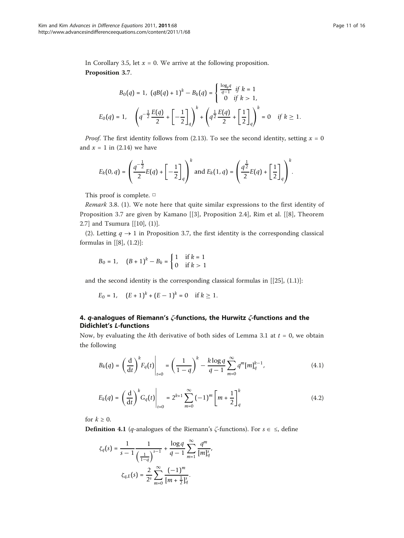In Corollary 3.5, let  $x = 0$ . We arrive at the following proposition. Proposition 3.7.

$$
B_0(q) = 1, \quad (qB(q) + 1)^k - B_k(q) = \begin{cases} \frac{\log_p q}{q-1} & \text{if } k = 1\\ 0 & \text{if } k > 1, \end{cases}
$$
\n
$$
E_0(q) = 1, \quad \left(q^{-\frac{1}{2}} \frac{E(q)}{2} + \left[-\frac{1}{2}\right]_q\right)^k + \left(q^{\frac{1}{2}} \frac{E(q)}{2} + \left[\frac{1}{2}\right]_q\right)^k = 0 \quad \text{if } k \ge 1.
$$

*Proof.* The first identity follows from (2.13). To see the second identity, setting  $x = 0$ and  $x = 1$  in (2.14) we have

$$
E_k(0,q) = \left(\frac{q^{-\frac{1}{2}}}{2}E(q) + \left[-\frac{1}{2}\right]_q\right)^k \text{ and } E_k(1,q) = \left(\frac{q^{\frac{1}{2}}}{2}E(q) + \left[\frac{1}{2}\right]_q\right)^k.
$$

This proof is complete. □

Remark 3.8. (1). We note here that quite similar expressions to the first identity of Proposition 3.7 are given by Kamano [[[3\]](#page-14-0), Proposition 2.4], Rim et al. [[[8](#page-14-0)], Theorem 2.7] and Tsumura [[[10\]](#page-14-0), (1)].

(2). Letting  $q \to 1$  in Proposition 3.7, the first identity is the corresponding classical formulas in [[\[8\]](#page-14-0), (1.2)]:

$$
B_0 = 1
$$
,  $(B+1)^k - B_k = \begin{cases} 1 & \text{if } k = 1 \\ 0 & \text{if } k > 1 \end{cases}$ 

and the second identity is the corresponding classical formulas in  $[[25]$  $[[25]$ ,  $(1.1)]$ :

$$
E_0 = 1, \quad (E+1)^k + (E-1)^k = 0 \quad \text{if } k \ge 1.
$$

## 4.  $q$ -analogues of Riemann's  $\zeta$ -functions, the Hurwitz  $\zeta$ -functions and the Didichlet's L-functions

Now, by evaluating the kth derivative of both sides of Lemma 3.1 at  $t = 0$ , we obtain the following

$$
B_k(q) = \left(\frac{d}{dt}\right)^k F_q(t) \bigg|_{t=0} = \left(\frac{1}{1-q}\right)^k - \frac{k \log q}{q-1} \sum_{m=0}^{\infty} q^m [m]_q^{k-1}, \tag{4.1}
$$

$$
E_k(q) = \left(\frac{d}{dt}\right)^k G_q(t) \bigg|_{t=0} = 2^{k+1} \sum_{m=0}^{\infty} (-1)^m \left[m + \frac{1}{2}\right]_q^k
$$
 (4.2)

for  $k \geq 0$ .

**Definition 4.1** (*q*-analogues of the Riemann's  $\zeta$ -functions). For  $s \in \leq$ , define

$$
\zeta_q(s) = \frac{1}{s-1} \frac{1}{\left(\frac{1}{1-q}\right)^{s-1}} + \frac{\log q}{q-1} \sum_{m=1}^{\infty} \frac{q^m}{[m]_q^s},
$$

$$
\zeta_{q,E}(s) = \frac{2}{2^s} \sum_{m=0}^{\infty} \frac{(-1)^m}{[m+\frac{1}{2}]_q^s}.
$$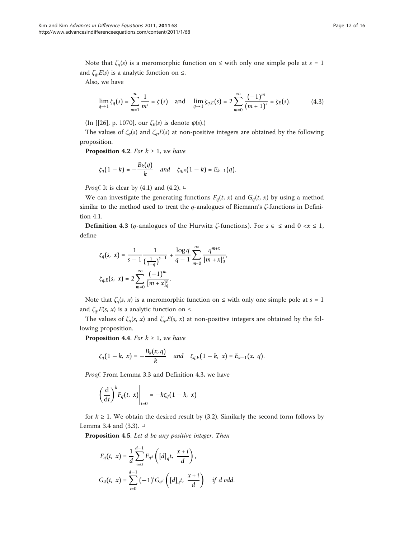Note that  $\zeta_q(s)$  is a meromorphic function on  $\leq$  with only one simple pole at  $s = 1$ and  $\zeta_a E(s)$  is a analytic function on  $\leq$ .

Also, we have

$$
\lim_{q \to 1} \zeta_q(s) = \sum_{m=1}^{\infty} \frac{1}{m^s} = \zeta(s) \quad \text{and} \quad \lim_{q \to 1} \zeta_{q,E}(s) = 2 \sum_{m=0}^{\infty} \frac{(-1)^m}{(m+1)^s} = \zeta_E(s). \tag{4.3}
$$

(In [[[26\]](#page-15-0), p. 1070], our  $\zeta_E(s)$  is denote  $\varphi(s)$ .)

The values of  $\zeta_q(s)$  and  $\zeta_q(E(s))$  at non-positive integers are obtained by the following proposition.

**Proposition 4.2.** For  $k \geq 1$ , we have

$$
\zeta_q(1-k) = -\frac{B_k(q)}{k}
$$
 and  $\zeta_{q,E}(1-k) = E_{k-1}(q)$ .

*Proof.* It is clear by (4.1) and (4.2).  $\Box$ 

We can investigate the generating functions  $F_q(t, x)$  and  $G_q(t, x)$  by using a method similar to the method used to treat the  $q$ -analogues of Riemann's ζ-functions in Definition 4.1.

**Definition 4.3** (*q*-analogues of the Hurwitz  $\zeta$ -functions). For  $s \in \zeta$  and  $0 \le x \le 1$ , define

$$
\zeta_q(s, x) = \frac{1}{s - 1} \frac{1}{\left(\frac{1}{1 - q}\right)^{s - 1}} + \frac{\log q}{q - 1} \sum_{m = 0}^{\infty} \frac{q^{m + x}}{[m + x]_q^s},
$$
  

$$
\zeta_{q,E}(s, x) = 2 \sum_{m = 0}^{\infty} \frac{(-1)^m}{[m + x]_q^s}.
$$

Note that  $\zeta_q(s, x)$  is a meromorphic function on  $\leq$  with only one simple pole at  $s = 1$ and  $\zeta_q$ , $E(s, x)$  is a analytic function on  $\leq$ .

The values of  $\zeta_q(s, x)$  and  $\zeta_q(E(s, x))$  at non-positive integers are obtained by the following proposition.

**Proposition 4.4.** For  $k \geq 1$ , we have

$$
\zeta_q(1-k, x) = -\frac{B_k(x, q)}{k}
$$
 and  $\zeta_{q,E}(1-k, x) = E_{k-1}(x, q)$ .

Proof. From Lemma 3.3 and Definition 4.3, we have

$$
\left(\frac{\mathrm{d}}{\mathrm{d}t}\right)^k F_q(t, x)\Big|_{t=0} = -k\zeta_q(1-k, x)
$$

for  $k \geq 1$ . We obtain the desired result by (3.2). Similarly the second form follows by Lemma 3.4 and (3.3). □

Proposition 4.5. Let d be any positive integer. Then

$$
F_q(t, x) = \frac{1}{d} \sum_{i=0}^{d-1} F_{q^d} \left( [d]_q t, \frac{x+i}{d} \right),
$$
  

$$
G_q(t, x) = \sum_{i=0}^{d-1} (-1)^i G_{q^d} \left( [d]_q t, \frac{x+i}{d} \right) \text{ if } d \text{ odd.}
$$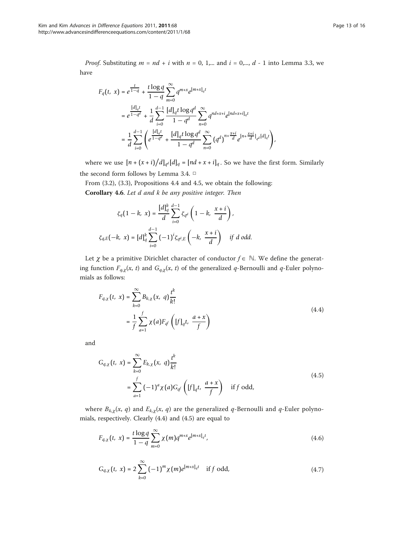*Proof.* Substituting  $m = nd + i$  with  $n = 0, 1,...$  and  $i = 0,..., d - 1$  into Lemma 3.3, we have

$$
F_q(t, x) = e^{\frac{t}{1-q}} + \frac{t \log q}{1-q} \sum_{m=0}^{\infty} q^{m+x} e^{[m+x]_q t}
$$
  
=  $e^{\frac{[d]_q t}{1-q^d}} + \frac{1}{d} \sum_{i=0}^{d-1} \frac{[d]_q t \log q^d}{1-q^d} \sum_{n=0}^{\infty} q^{nd+x+i} e^{[nd+x+i]_q t}$   
=  $\frac{1}{d} \sum_{i=0}^{d-1} \left( e^{\frac{[d]_q t}{1-q^d}} + \frac{[d]_q t \log q^d}{1-q^d} \sum_{n=0}^{\infty} (q^d)^{n+\frac{x+i}{d}} e^{[n+\frac{x+i}{d}]_q t [d]_q t} \right),$ 

where we use  $[n + (x + i)/d]_{q^d}[d]_q = [nd + x + i]_q$ . So we have the first form. Similarly the second form follows by Lemma 3.4. □

From (3.2), (3.3), Propositions 4.4 and 4.5, we obtain the following:

Corollary 4.6. Let d and k be any positive integer. Then

$$
\zeta_q(1-k, x) = \frac{[d]_q^k}{d} \sum_{i=0}^{d-1} \zeta_{q^d} \left(1-k, \frac{x+i}{d}\right),
$$
  

$$
\zeta_{q,E}(-k, x) = [d]_q^k \sum_{i=0}^{d-1} (-1)^i \zeta_{q^d,E} \left(-k, \frac{x+i}{d}\right) \text{ if } d \text{ odd.}
$$

Let  $\chi$  be a primitive Dirichlet character of conductor  $f \in \mathbb{N}$ . We define the generating function  $F_{q,\chi}(x, t)$  and  $G_{q,\chi}(x, t)$  of the generalized q-Bernoulli and q-Euler polynomials as follows:

$$
F_{q,\chi}(t, x) = \sum_{k=0}^{\infty} B_{k,\chi}(x, q) \frac{t^k}{k!}
$$
  
= 
$$
\frac{1}{f} \sum_{a=1}^{f} \chi(a) F_{q^f} \left( [f]_q t, \frac{a+x}{f} \right)
$$
 (4.4)

and

$$
G_{q,\chi}(t, x) = \sum_{k=0}^{\infty} E_{k,\chi}(x, q) \frac{t^k}{k!}
$$
  
= 
$$
\sum_{a=1}^{f} (-1)^a \chi(a) G_{q^f} \left( [f]_q t, \frac{a+x}{f} \right) \text{ if } f \text{ odd,}
$$
 (4.5)

where  $B_{k,\chi}(x, q)$  and  $E_{k,\chi}(x, q)$  are the generalized q-Bernoulli and q-Euler polynomials, respectively. Clearly (4.4) and (4.5) are equal to

$$
F_{q,\chi}(t, x) = \frac{t \log q}{1 - q} \sum_{m=0}^{\infty} \chi(m) q^{m+x} e^{[m+x]_q t}, \qquad (4.6)
$$

$$
G_{q,\chi}(t, x) = 2 \sum_{k=0}^{\infty} (-1)^m \chi(m) e^{[m+x]_q t} \text{ if } f \text{ odd,}
$$
 (4.7)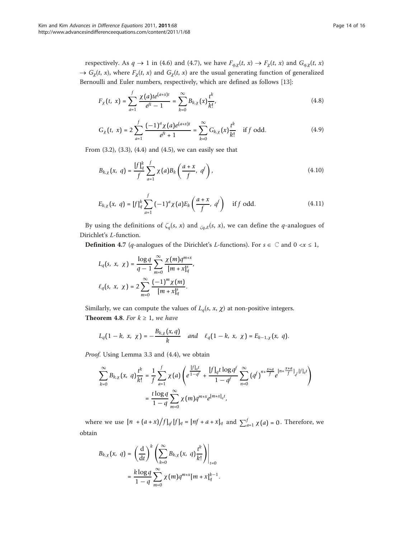$$
F_{\chi}(t, x) = \sum_{a=1}^{f} \frac{\chi(a)te^{(a+x)t}}{e^{ft} - 1} = \sum_{k=0}^{\infty} B_{k,\chi}(x) \frac{t^k}{k!},
$$
\n(4.8)

$$
G_{\chi}(t, x) = 2 \sum_{a=1}^{f} \frac{(-1)^{a} \chi(a) e^{(a+x)t}}{e^{ft} + 1} = \sum_{k=0}^{\infty} G_{k, \chi}(x) \frac{t^{k}}{k!} \quad \text{if } f \text{ odd.}
$$
 (4.9)

From (3.2), (3.3), (4.4) and (4.5), we can easily see that

$$
B_{k,\chi}(x, q) = \frac{\left[f\right]_q^k}{f} \sum_{a=1}^f \chi(a) B_k\left(\frac{a+x}{f}, q^f\right), \tag{4.10}
$$

$$
E_{k,\chi}(x, q) = [f]_q^k \sum_{a=1}^f (-1)^a \chi(a) E_k\left(\frac{a+x}{f}, q^f\right) \text{ if } f \text{ odd.}
$$
 (4.11)

By using the definitions of  $\zeta_q(s, x)$  and  $\zeta_{q,E}(s, x)$ , we can define the q-analogues of Dirichlet's L-function.

**Definition 4.7** (*q*-analogues of the Dirichlet's *L*-functions). For  $s \in \mathbb{C}$  and  $0 \le x \le 1$ ,

$$
L_q(s, x, \chi) = \frac{\log q}{q - 1} \sum_{m=0}^{\infty} \frac{\chi(m)q^{m+x}}{[m + x]_q^s},
$$
  

$$
\ell_q(s, x, \chi) = 2 \sum_{m=0}^{\infty} \frac{(-1)^m \chi(m)}{[m + x]_q^s}.
$$

Similarly, we can compute the values of  $L_q(s, x, \chi)$  at non-positive integers. Theorem 4.8. For  $k \geq 1$ , we have

$$
L_q(1 - k, x, \chi) = -\frac{B_{k,\chi}(x,q)}{k} \quad \text{and} \quad \ell_q(1 - k, x, \chi) = E_{k-1,\chi}(x, q).
$$

Proof. Using Lemma 3.3 and (4.4), we obtain

$$
\sum_{k=0}^{\infty} B_{k,\chi}(x, q) \frac{t^k}{k!} = \frac{1}{f} \sum_{a=1}^{f} \chi(a) \left( e^{\frac{\left[f\right]_q t}{1-q^f}} + \frac{\left[f\right]_q t \log q^f}{1-q^f} \sum_{n=0}^{\infty} \left(q^f\right)^{n+\frac{x+a}{f}} e^{\left[n+\frac{x+a}{f}\right]_q \left[f\right]_q t} \right)
$$

$$
= \frac{t \log q}{1-q} \sum_{m=0}^{\infty} \chi(m) q^{m+x} e^{\left[m+x\right]_q t},
$$

where we use  $[n + (a + x)/f]_{q}$   $[f]_q = [nf + a + x]_q$  and  $\sum_{a=1}^{f} \chi(a) = 0$ . Therefore, we obtain

$$
B_{k,\chi}(x, q) = \left. \left( \frac{\mathrm{d}}{\mathrm{d}t} \right)^k \left( \sum_{k=0}^{\infty} B_{k,\chi}(x, q) \frac{t^k}{k!} \right) \right|_{t=0}
$$
  
= 
$$
\frac{k \log q}{1-q} \sum_{m=0}^{\infty} \chi(m) q^{m+x} [m + x]_q^{k-1}.
$$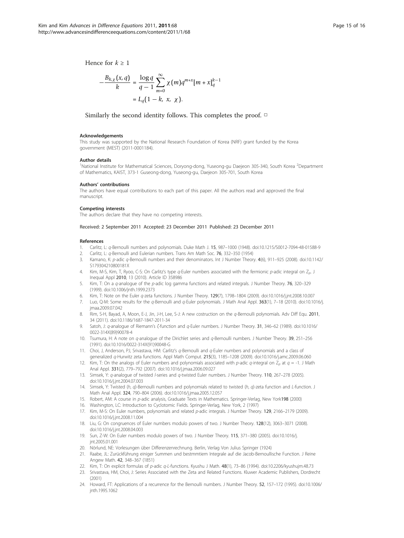<span id="page-14-0"></span>Hence for  $k > 1$ 

$$
-\frac{B_{k,\chi}(x,q)}{k} = \frac{\log q}{q-1} \sum_{m=0}^{\infty} \chi(m) q^{m+x} [m+x]_q^{k-1}
$$
  
=  $L_q(1-k, x, \chi)$ .

Similarly the second identity follows. This completes the proof. □

#### Acknowledgements

This study was supported by the National Research Foundation of Korea (NRF) grant funded by the Korea government (MEST) (2011-0001184).

#### Author details

<sup>1</sup>National Institute for Mathematical Sciences, Doryong-dong, Yuseong-gu Daejeon 305-340, South Korea<sup>2</sup>Department of Mathematics, KAIST, 373-1 Guseong-dong, Yuseong-gu, Daejeon 305-701, South Korea

#### Authors' contributions

The authors have equal contributions to each part of this paper. All the authors read and approved the final manuscript.

#### Competing interests

The authors declare that they have no competing interests.

### Received: 2 September 2011 Accepted: 23 December 2011 Published: 23 December 2011

#### References

- 1. Carlitz, L: q-Bernoulli numbers and polynomials. Duke Math J. 15, 987–1000 (1948). doi:10.1215/S0012-7094-48-01588-9
- 2. Carlitz, L: q-Bernoulli and Eulerian numbers. Trans Am Math Soc. 76, 332–350 (1954)
- 3. Kamano, K: p-adic q-Bernoulli numbers and their denominators. Int J Number Theory. 4(6), 911–925 (2008). doi:10.1142/ S179304210800181X
- 4. Kim, M-S, Kim, T, Ryoo, C-S: On Carlitz's type  $q$ -Euler numbers associated with the fermionic p-adic integral on  $Z_p$ . J Inequal Appl 2010, 13 (2010). Article ID 358986
- 5. Kim, T: On a q-analogue of the p-adic log gamma functions and related integrals. J Number Theory. 76, 320-329 (1999). doi:10.1006/jnth.1999.2373
- 6. Kim, T: Note on the Euler q-zeta functions. J Number Theory. 129(7), 1798–1804 (2009). doi:10.1016/j.jnt.2008.10.007
- 7. Luo, Q-M: Some results for the q-Bernoulli and q-Euler polynomials. J Math Anal Appl. 363(1), 7–18 (2010). doi:10.1016/j. jmaa.2009.07.042
- 8. Rim, S-H, Bayad, A, Moon, E-J, Jin, J-H, Lee, S-J; A new costruction on the *a*-Bernoulli polynomials. Adv Diff Equ. 2011, 34 (2011). doi:10.1186/1687-1847-2011-34
- Satoh, J: q-analoque of Riemann's ζ-function and q-Euler numbers. J Number Theory. 31, 346–62 (1989). doi:10.1016/ 0022-314X(89)90078-4
- 10. Tsumura, H: A note on  $q$ -analogue of the Dirichlet series and  $q$ -Bernoulli numbers. J Number Theory. 39, 251–256 (1991). doi:10.1016/0022-314X(91)90048-G
- 11. Choi, J, Anderson, PJ, Srivastava, HM: Carlitz's q-Bernoulli and q-Euler numbers and polynomials and a class of generalized q-Hurwitz zeta functions. Appl Math Comput. 215(3), 1185–1208 (2009). doi:10.1016/j.amc.2009.06.060
- 12. Kim, T: On the analogs of Euler numbers and polynomials associated with p-adic q-integral on  $Z_p$  at  $q = -1$ . J Math Anal Appl. 331(2), 779–792 (2007). doi:10.1016/j.jmaa.2006.09.027
- 13. Simsek, Y: q-analogue of twisted l-series and q-twisted Euler numbers. J Number Theory. 110, 267–278 (2005). doi:10.1016/j.jnt.2004.07.003
- 14. Simsek, Y: Twisted (h, q)-Bernoulli numbers and polynomials related to twisted (h, q)-zeta function and L-function. J Math Anal Appl. 324, 790–804 (2006). doi:10.1016/j.jmaa.2005.12.057
- 15. Robert, AM: A course in p-adic analysis, Graduate Texts in Mathematics. Springer-Verlag, New York198 (2000)
- 16. Washington, LC: Introduction to Cyclotomic Fields. Springer-Verlag, New York, 2 (1997)
- 17. Kim, M-S: On Euler numbers, polynomials and related p-adic integrals. J Number Theory. 129, 2166–2179 (2009). doi:10.1016/j.jnt.2008.11.004
- 18. Liu, G: On congruences of Euler numbers modulo powers of two. J Number Theory. 128(12), 3063–3071 (2008). doi:10.1016/j.jnt.2008.04.003
- 19. Sun, Z-W: On Euler numbers modulo powers of two. J Number Theory. 115, 371–380 (2005). doi:10.1016/j. int.2005.01.001
- 20. Nörlund, NE: Vorlesungen über Differenzenrechnung. Berlin, Verlag Von Julius Springer (1924)
- 21. Raabe, JL: Zurückführung einiger Summen und bestmmtiem Integrale auf die Jacob-Bernoullische Function. J Reine Angew Math. 42, 348–367 (1851)
- 22. Kim, T: On explicit formulas of p-adic q-L-functions. Kyushu J Math. 48(1), 73-86 (1994). doi:10.2206/kyushujm.48.73
- 23. Srivastava, HM, Choi, J: Series Associated with the Zeta and Related Functions. Kluwer Academic Publishers, Dordrecht (2001)
- 24. Howard, FT: Applications of a recurrence for the Bernoulli numbers. J Number Theory. 52, 157–172 (1995). doi:10.1006/ jnth.1995.1062